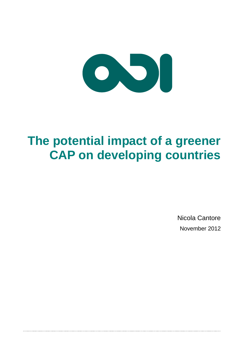

# **The potential impact of a greener CAP on developing countries**

Nicola Cantore November 2012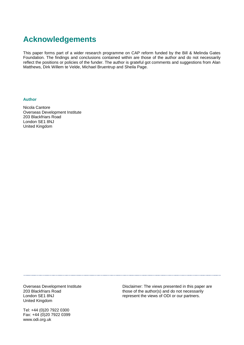## **Acknowledgements**

This paper forms part of a wider research programme on CAP reform funded by the Bill & Melinda Gates Foundation. The findings and conclusions contained within are those of the author and do not necessarily reflect the positions or policies of the funder. The author is grateful got comments and suggestions from Alan Matthews, Dirk Willem te Velde, Michael Bruentrup and Sheila Page.

#### **Author**

Nicola Cantore Overseas Development Institute 203 Blackfriars Road London SE1 8NJ United Kingdom

Overseas Development Institute 203 Blackfriars Road London SE1 8NJ United Kingdom

Disclaimer: The views presented in this paper are those of the author(s) and do not necessarily represent the views of ODI or our partners.

Tel: +44 (0)20 7922 0300 Fax: +44 (0)20 7922 0399 www.odi.org.uk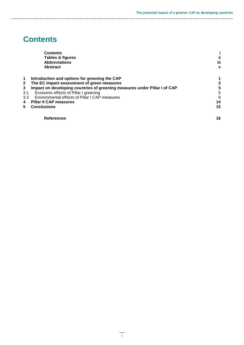## **Contents**

|     | <b>Contents</b>                                                           |             |  |  |
|-----|---------------------------------------------------------------------------|-------------|--|--|
|     | Tables & figures                                                          | Ϊi          |  |  |
|     | <b>Abbreviations</b>                                                      | iii         |  |  |
|     | <b>Abstract</b>                                                           | $\mathbf v$ |  |  |
| 1   | Introduction and options for greening the CAP                             |             |  |  |
| 2   | The EC impact assessment of green measures                                | 3           |  |  |
| 3   | Impact on developing countries of greening measures under Pillar I of CAP | 5           |  |  |
| 3.1 | Economic effects of Pillar I greening                                     | 5           |  |  |
| 3.2 | Environmental effects of Pillar I CAP measures                            | 9           |  |  |
| 4   | <b>Pillar II CAP measures</b>                                             | 14          |  |  |
| 5   | <b>Conclusions</b>                                                        | 15          |  |  |
|     | <b>References</b>                                                         | 16          |  |  |
|     |                                                                           |             |  |  |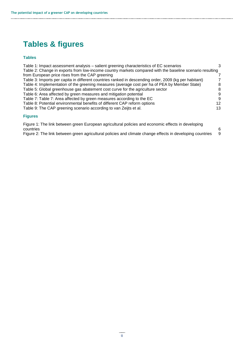## **Tables & figures**

#### **Tables**

| Table 1: Impact assessment analysis - salient greening characteristics of EC scenarios                   | 3               |
|----------------------------------------------------------------------------------------------------------|-----------------|
| Table 2: Change in exports from low-income country markets compared with the baseline scenario resulting |                 |
| from European price rises from the CAP greening                                                          |                 |
| Table 3: Imports per capita in different countries ranked in descending order, 2009 (kg per habitant)    |                 |
| Table 4: Implementation of the greening measures (average cost per ha of PEA by Member State)            | 8               |
| Table 5: Global greenhouse gas abatement cost curve for the agriculture sector                           | 8               |
| Table 6: Area affected by green measures and mitigation potential                                        | 9               |
| Table 7: Table 7: Area affected by green measures according to the EC                                    | 9               |
| Table 8: Potential environmental benefits of different CAP reform options                                | 12 <sup>2</sup> |
| Table 9: The CAP greening scenario according to van Zeijts et al.                                        | 13              |
| <b>Figures</b>                                                                                           |                 |

Figure 1: The link between green European agricultural policies and economic effects in developing countries 6

Figure 2: The link between green agricultural policies and climate change effects in developing countries 9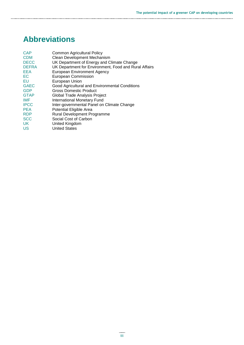# **Abbreviations**

| <b>CAP</b>   | <b>Common Agricultural Policy</b>                     |
|--------------|-------------------------------------------------------|
| <b>CDM</b>   | Clean Development Mechanism                           |
| <b>DECC</b>  | UK Department of Energy and Climate Change            |
| <b>DEFRA</b> | UK Department for Environment, Food and Rural Affairs |
| <b>EEA</b>   | <b>European Environment Agency</b>                    |
| EC           | <b>European Commission</b>                            |
| EU           | European Union                                        |
| <b>GAEC</b>  | Good Agricultural and Environmental Conditions        |
| <b>GDP</b>   | Gross Domestic Product                                |
| <b>GTAP</b>  | Global Trade Analysis Project                         |
| <b>IMF</b>   | <b>International Monetary Fund</b>                    |
| <b>IPCC</b>  | Inter-governmental Panel on Climate Change            |
| <b>PEA</b>   | Potential Eligible Area                               |
| <b>RDP</b>   | Rural Development Programme                           |
| <b>SCC</b>   | Social Cost of Carbon                                 |
| UK.          | United Kingdom                                        |
| <b>US</b>    | <b>United States</b>                                  |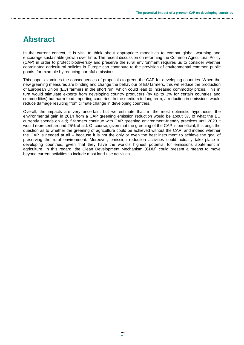### **Abstract**

In the current context, it is vital to think about appropriate modalities to combat global warming and encourage sustainable growth over time. The recent discussion on reforming the Common Agricultural Policy (CAP) in order to protect biodiversity and preserve the rural environment requires us to consider whether coordinated agricultural policies in Europe can contribute to the provision of environmental common public goods, for example by reducing harmful emissions.

This paper examines the consequences of proposals to green the CAP for developing countries. When the new greening measures are binding and change the behaviour of EU farmers, this will reduce the production of European Union (EU) farmers in the short run, which could lead to increased commodity prices. This in turn would stimulate exports from developing country producers (by up to 3% for certain countries and commodities) but harm food-importing countries. In the medium to long term, a reduction in emissions would reduce damage resulting from climate change in developing countries.

Overall, the impacts are very uncertain, but we estimate that, in the most optimistic hypothesis, the environmental gain in 2014 from a CAP greening emission reduction would be about 3% of what the EU currently spends on aid; if farmers continue with CAP greening environment-friendly practices until 2023 it would represent around 25% of aid. Of course, given that the greening of the CAP is beneficial, this begs the question as to whether the greening of agriculture could be achieved without the CAP, and indeed whether the CAP is needed at all – because it is not the only or even the best instrument to achieve the goal of preserving the rural environment*.* Moreover, emission reduction activities could actually take place in developing countries, given that they have the world's highest potential for emissions abatement in agriculture. In this regard, the Clean Development Mechanism (CDM) could present a means to move beyond current activities to include most land-use activities.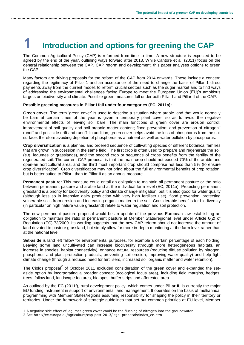# **1 Introduction and options for greening the CAP**

The Common Agricultural Policy (CAP) is reformed from time to time. A new structure is expected to be agreed by the end of the year, outlining ways forward after 2013. While Cantore et al. (2011) focus on the general relationship between the CAP, CAP reform and development, this paper analyses options to green the CAP.

Many factors are driving proposals for the reform of the CAP from 2014 onwards. These include a concern regarding the legitimacy of Pillar 1 and an acceptance of the need to change the basis of Pillar 1 direct payments away from the current model, to reform crucial sectors such as the sugar market and to find ways of addressing the environmental challenges facing Europe to meet the European Union (EU)'s ambitious targets on biodiversity and climate. Possible green measures fall under both Pillar I and Pillar II of the CAP.

#### **Possible greening measures in Pillar I fall under four categories (EC, 2011a):**

**Green cover:** The term 'green cover' is used to describe a situation where arable land that would normally be bare at certain times of the year is given a temporary plant cover so as to avoid the negative environmental effects of leaving soil bare. The main functions of green cover are erosion control; improvement of soil quality and soil organic matter content; flood prevention; and prevention of nitrogen<sup>1</sup> runoff and pesticide drift and runoff. In addition, green cover helps avoid the loss of phosphorus from the soil surface, therefore avoiding depletion of phosphorus as a nutrient as well as water pollution by phosphorus.

**Crop diversification** is a planned and ordered sequence of cultivating species of different botanical families that are grown in succession in the same field. The first crop is often used to prepare and regenerate the soil (e.g. legumes or grasslands), and the second crop or sequence of crops benefits from the fertility of the regenerated soil. The current CAP proposal is that the main crop should not exceed 70% of the arable and open-air horticultural area, and the third most important crop should comprise not less than 5% (to ensure crop diversification). Crop diversification may not bring about the full environmental benefits of crop rotation, but is better suited to Pillar I than to Pillar II as an annual measure.

**Permanent pasture:** This measure could entail an obligation to maintain all permanent pasture or the ratio between permanent pasture and arable land at the individual farm level (EC, 2011a). Protecting permanent grassland is a priority for biodiversity policy and climate change mitigation, but it is also good for water quality (although less so in intensive dairy production with very high fertiliser use), flood prevention, protecting vulnerable soils from erosion and increasing organic matter in the soil*.* Considerable benefits for biodiversity (in particular on high nature value grassland) relate to water regulation and soil protection.

The new permanent pasture proposal would be an update of the previous European law establishing an obligation to maintain the ratio of permanent pasture at Member State/regional level under Article 6(2) of Regulation (EC) 73/2009. Its wording suggests that the new CAP reform should not increase the amount of land devoted to pasture grassland, but simply allow for more in-depth monitoring at the farm level rather than at the national level.

**Set-aside** is land left fallow for environmental purposes, for example a certain percentage of each holding. Leaving some land uncultivated can increase biodiversity (through more heterogeneous habitats, an increase in species, habitat connectivity), enhance natural resources (reducing diffuse pollution by nitrogen, phosphorus and plant protection products, preventing soil erosion, improving water quality) and help fight climate change (through a reduced need for fertilisers, increased soil organic matter and water retention).

The Ciolos proposal<sup>2</sup> of October 2011 excluded consideration of the green cover and expanded the setaside option by incorporating a broader concept (ecological focus area), including field margins, hedges, trees, fallow land, landscape features, biotopes, buffer strips and afforested area.

As outlined by the EC (2011f), rural development policy, which comes under **Pillar II**, is currently the major EU funding instrument in support of environmental land management. It operates on the basis of multiannual programming with Member States/regions assuming responsibility for shaping the policy in their territory or territories. Under the framework of strategic guidelines that set out common priorities at EU level, Member

<sup>1</sup> A negative side effect of legumes green cover could be the flushing of nitrogen into the groundwater.

<sup>2</sup> See [http://ec.europa.eu/agriculture/cap-post-2013/legal-proposals/index\\_en.htm](http://ec.europa.eu/agriculture/cap-post-2013/legal-proposals/index_en.htm)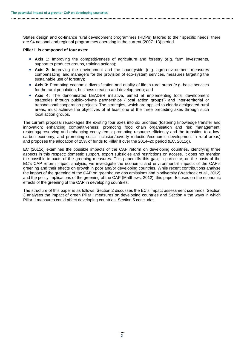States design and co-finance rural development programmes (RDPs) tailored to their specific needs; there are 94 national and regional programmes operating in the current (2007–13) period.

#### **Pillar II is composed of four axes:**

- **Axis 1:** Improving the competitiveness of agriculture and forestry (e.g. farm investments, support to producer groups, training actions);
- **Axis 2:** Improving the environment and the countryside (e.g. agro-environment measures compensating land managers for the provision of eco-system services, measures targeting the sustainable use of forestry);
- **Axis 3:** Promoting economic diversification and quality of life in rural areas (e.g. basic services for the rural population, business creation and development); and
- **Axis 4:** The denominated LEADER initiative, aimed at implementing local development strategies through public–private partnerships ('local action groups') and inter-territorial or transnational cooperation projects. The strategies, which are applied to clearly designated rural areas, must achieve the objectives of at least one of the three preceding axes through such local action groups.

The current proposal repackages the existing four axes into six priorities (fostering knowledge transfer and innovation; enhancing competitiveness; promoting food chain organisation and risk management; restoring/preserving and enhancing ecosystems; promoting resource efficiency and the transition to a lowcarbon economy; and promoting social inclusion/poverty reduction/economic development in rural areas) and proposes the allocation of 25% of funds to Pillar II over the 2014–20 period (EC, 2011g).

EC (2011c) examines the possible impacts of the CAP reform on developing countries, identifying three aspects in this respect: domestic support, export subsidies and restrictions on access. It does not mention the possible impacts of the greening measures. This paper fills this gap; in particular, on the basis of the EC's CAP reform impact analysis, we investigate the economic and environmental impacts of the CAP's greening and their effects on growth in poor and/or developing countries. While recent contributions analyse the impact of the greening of the CAP on greenhouse gas emissions and biodiversity (Westhoek et al., 2012) and the policy implications of the greening of the CAP (Matthews, 2012), this paper focuses on the economic effects of the greening of the CAP in developing countries.

The structure of this paper is as follows. Section 2 discusses the EC's impact assessment scenarios. Section 3 analyses the impact of green Pillar I measures on developing countries and Section 4 the ways in which Pillar II measures could affect developing countries. Section 5 concludes.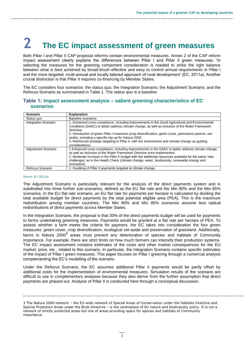# **2 The EC impact assessment of green measures**

Both Pillar I and Pillar II CAP proposal reforms contain environmental measures. Annex 2 of the CAP reform impact assessment clearly explains the differences between Pillar I and Pillar II green measures: 'In selecting the measures for the greening component consideration is needed to strike the right balance between what is best achieved by broad-brush effective and easy to control annual requirements in Pillar I and the more targeted, multi-annual and locally tailored approach of rural development' (EC, 2011a). Another crucial distinction is that Pillar II requires co-financing by Member States.

The EC considers four scenarios: the status quo; the Integration Scenario; the Adjustment Scenario; and the Refocus Scenario as summarised in Table 1. The status quo is a baseline.

#### **Table 1: Impact assessment analysis – salient greening characteristics of EC scenarios**

| <b>Scenario</b>             | <b>Explanation</b>                                                                                                                                                                                                                                                                                                                                                                                                                                                                                          |
|-----------------------------|-------------------------------------------------------------------------------------------------------------------------------------------------------------------------------------------------------------------------------------------------------------------------------------------------------------------------------------------------------------------------------------------------------------------------------------------------------------------------------------------------------------|
| Status quo                  | Baseline scenarios                                                                                                                                                                                                                                                                                                                                                                                                                                                                                          |
| <b>Integration Scenario</b> | 1. Enhanced cross-compliance, including improvements in the Good Agricultural and Environmental<br>Conditions (GAEC) to better address climate change, as well as inclusion of the Water Framework<br>Directive.<br>2. Introduction of green Pillar I measures (crop diversification, green cover, permanent pasture, set-<br>aside), including a specific top-up for Natura 2000.<br>3. Reinforced strategic targeting in Pillar II, with the environment and climate change as guiding<br>considerations. |
| <b>Adjustment Scenario</b>  | 1. Enhanced cross-compliance, including improvements in the GAEC to better address climate change,<br>as well as inclusion of the Water Framework Directive once implemented.<br>2. Moderate increase in the Pillar II budget with the additional resources available for the same 'new<br>challenges' as in the Health Check (climate change, water, biodiversity, renewable energy and<br>innovation).                                                                                                    |
| Refocus Scenario            | 1. Doubling of Pillar II payments targeted at climate change.                                                                                                                                                                                                                                                                                                                                                                                                                                               |

#### Source: EC (2011a).

The Adjustment Scenario is particularly relevant for the analysis of the direct payments system and is subdivided into three further sub-scenarios, defined as the EU flat rate and the Min 80% and the Min 85% scenarios. In the EU flat rate scenario, an EU flat rate for payments per hectare is calculated by dividing the total available budget for direct payments by the total potential eligible area (PEA). This is the maximum redistribution among member countries. The Min 80% and Min 85% scenarios assume less radical redistributions of direct payments across Member States.

In the Integration Scenario, the proposal is that 30% of the direct payments budget will be used for payments to farms undertaking greening measures. Payments would be granted at a flat rate per hectare of PEA. To assess whether a farm meets the criteria for payment, the EC takes into consideration the four green measures: green cover, crop diversification, ecological set-aside and preservation of grassland. Additionally, farms in Natura 2000<sup>3</sup> areas must prevent any deterioration of species and habitats of Community importance. For example, there are strict limits on how much farmers can intensify their production systems. The EC impact assessment contains estimates of the costs and other market consequences for the EU market, price, etc., related to this scenario. In particular, the Integration Scenario contains specific estimates of the impact of Pillar I green measures. This paper focuses on Pillar I greening through a numerical analysis complementing the EC's modelling of the scenario.

Under the Refocus Scenario, the EC assumes additional Pillar II payments would be partly offset by additional costs for the implementation of environmental measures. Simulation results of the scenario are difficult to use in complementary analyses because they also derive from the further assumption that direct payments are phased out. Analysis of Pillar II is conducted here through a conceptual discussion.

<sup>3</sup> The Natura 2000 network – the EU-wide network of Special Areas of Conservation under the Habitats Directive and Special Protection Areas under the Birds Directive – is the centrepiece of EU nature and biodiversity policy. It is not a network of strictly protected areas but one of areas providing space for species and habitats of Community importance.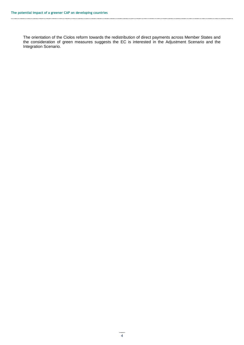The orientation of the Ciolos reform towards the redistribution of direct payments across Member States and the consideration of green measures suggests the EC is interested in the Adjustment Scenario and the Integration Scenario.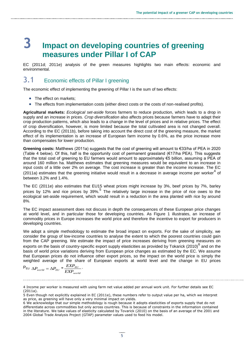# **3 Impact on developing countries of greening measures under Pillar I of CAP**

EC (2011d; 2011e) analysis of the green measures highlights two main effects: economic and environmental.

### 3.1 Economic effects of Pillar I greening

The economic effect of implementing the greening of Pillar I is the sum of two effects:

- The effect on markets:
- The effects from implementation costs (either direct costs or the costs of non-realised profits).

**Agricultural markets:** *Ecological set-aside* forces farmers to reduce production, which leads to a drop in supply and an increase in prices. *Crop diversification* also affects prices because farmers have to adapt their crop production patterns, which also leads to a change in the level of prices and in relative prices. The effect of crop diversification, however, is more limited because the total cultivated area is not changed overall. According to the EC (2011b), before taking into account the direct cost of the greening measure, the market effect of its implementation is an increase of European farm income by 0.6%, as the price increase more than compensates for lower production.

**Greening costs:** Matthews (2011a) suggests that the cost of greening will amount to €33/ha of PEA in 2020 (Table 4 below). Of this, half is the opportunity cost of permanent grassland ( $\epsilon$ 17/ha PEA). This suggests that the total cost of greening to EU farmers would amount to approximately €5 billion, assuming a PEA of around 160 million ha. Matthews estimates that greening measures would be equivalent to an increase in input costs of a little over 2% on average. The cost increase is greater than the income increase. The EC  $(2011a)$  estimates that the greening initiative would result in a decrease in average income per worker<sup>4</sup> of between 3.2% and 1.4%.

The EC (2011e) also estimates that EU15 wheat prices might increase by 3%, beef prices by 7%, barley prices by 12% and rice prices by 39%.<sup>5</sup> The relatively large increase in the price of rice owes to the ecological set-aside requirement, which would result in a reduction in the area planted with rice by around 8%.

The EC impact assessment does not discuss in depth the consequences of these European price changes at world level, and in particular those for developing countries. As Figure 1 illustrates, an increase of commodity prices in Europe increases the world price and therefore the incentive to export for producers in developing countries.

We adopt a simple methodology to estimate the broad impact on exports. For the sake of simplicity, we consider the group of low-income countries to analyse the extent to which the poorest countries could gain from the CAP greening. We estimate the impact of price increases deriving from greening measures on exports on the basis of country-specific export supply elasticities as provided by Tokarick (2010)<sup>6</sup> and on the basis of world price variations deriving from European price changes as estimated by the EC. We assume that European prices do not influence other export prices, so the impact on the world price is simply the weighted average of the share of European exports at world level and the change in EU prices

$$
P_{EU} \Delta P_{world} = \Delta P_{EU} * \frac{EXP_{EU}}{EXP_{world}}.
$$

<sup>4</sup> Income per worker is measured with using farm net value added per annual work unit. For further details see EC (2011a).

<sup>5</sup> Even though not explicitly explained in EC (2011e), these numbers refer to output value per ha, which we interpret as price, as greening will have only a very minimal impact on yields.

<sup>6</sup> We acknowledge that our simple methodology is rough because it adopts elasticities of exports supply that do not differentiate across commodities but only across countries. This is because of constraints in the information contained in the literature. We take values of elasticity calculated by Tovarick (2010) on the basis of an average of the 2001 and 2004 Global Trade Analysis Project (GTAP) parameter values used to feed his model.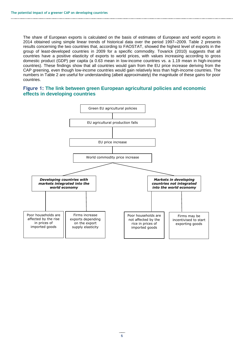The share of European exports is calculated on the basis of estimates of European and world exports in 2014 obtained using simple linear trends of historical data over the period 1997–2009. Table 2 presents results concerning the two countries that, according to FAOSTAT, showed the highest level of exports in the group of least-developed countries in 2009 for a specific commodity. Tovarick (2010) suggests that all countries have a positive elasticity of exports to world prices, with values increasing according to gross domestic product (GDP) per capita (a 0.63 mean in low-income countries vs. a 1.19 mean in high-income countries). These findings show that all countries would gain from the EU price increase deriving from the CAP greening, even though low-income countries would gain relatively less than high-income countries. The numbers in Table 2 are useful for understanding (albeit approximately) the magnitude of these gains for poor countries.

#### **Figure 1: The link between green European agricultural policies and economic effects in developing countries**

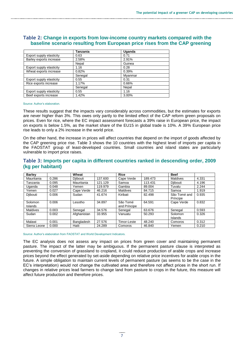|                          | Tanzania | Uganda  |
|--------------------------|----------|---------|
| Export supply elasticity | 0.63     | 0.71    |
| Barley exports increase  | 2.58%    | 2.91%   |
|                          | Nepal    | Guinea  |
| Export supply elasticity | 1.16     | 0.28    |
| Wheat exports increase   | 0.82%    | 0.39%   |
|                          | Senegal  | Myanmar |
| Export supply elasticity | 0.55     | 0.31    |
| Rice exports increase    | 1.17%    | 0.66%   |
|                          | Senegal  | Nepal   |
| Export supply elasticity | 0.55     | 1.16    |
| Beef exports increase    | 1.42%    | 3.00%   |

#### **Table 2: Change in exports from low-income country markets compared with the baseline scenario resulting from European price rises from the CAP greening**

Source: Author's elaboration.

These results suggest that the impacts vary considerably across commodities, but the estimates for exports are never higher than 3%. This owes only partly to the limited effect of the CAP reform green proposals on prices. Even for rice, where the EC impact assessment forecasts a 39% raise in European price, the impact on exports is below 1.5%, as the market share of the EU15 in global trade is 10%. A 39% European price rise leads to only a 2% increase in the world price.

On the other hand, the increase in prices will affect countries that depend on the import of goods affected by the CAP greening price rise. Table 3 shows the 10 countries with the highest level of imports per capita in the FAOSTAT group of least-developed countries. Small countries and island states are particularly vulnerable to import price raises.

#### **Table 3: Imports per capita in different countries ranked in descending order, 2009 (kg per habitant)**

| <b>Barley</b>   |       | Wheat       |         | <b>Rice</b>     |         | <b>Beef</b>     |       |
|-----------------|-------|-------------|---------|-----------------|---------|-----------------|-------|
| Mauritania      | 0.286 | Diibouti    | 137.600 | Cape Verde      | 189.473 | Maldives        | 4.331 |
| Fanzania        | 0.095 | Mauritania  | 121.129 | Samoa           | 113.431 | <b>Diibouti</b> | 4.196 |
| Uganda          | 0.048 | Yemen       | 119.979 | Gambia          | 89.004  | Tuvalu          | 2.244 |
| Yemen           | 0.027 | Cape Verde  | 46.216  | <b>Maldives</b> | 84.715  | Samoa           | 1.919 |
| Diibouti        | 0.006 | Sudan       | 41.674  | Kiribati        | 82.498  | São Tomé and    | 0.935 |
|                 |       |             |         |                 |         | Príncipe        |       |
| Solomon         | 0.006 | Lesotho     | 34.897  | São Tomé        | 64.591  | Cape Verde      | 0.832 |
| <b>Islands</b>  |       |             |         | and Principe    |         |                 |       |
| <b>Maldives</b> | 0.003 | Senegal     | 34.576  | Senegal         | 63.676  | Senegal         | 0.593 |
| Sudan           | 0.002 | Afghanistan | 33.955  | Vanuatu         | 50.293  | Solomon         | 0.326 |
|                 |       |             |         |                 |         | Islands         |       |
| Malawi          | 0.001 | Bangladesh  | 27.576  | Timor-Leste     | 48.240  | Comoros         | 0.312 |
| Sierra Leone    | 0.000 | Haiti       | 24.289  | Comoros         | 46.840  | Yemen           | 0.210 |

Source: Author's elaboration from FAOSTAT and World Development Indicators.

The EC analysis does not assess any impact on prices from green cover and maintaining permanent pasture. The impact of the latter may be ambiguous. If the permanent pasture clause is interpreted as preventing the conversion of grassland to cropland, it could reduce production of arable crops and increase prices beyond the effect generated by set-aside depending on relative price incentives for arable crops in the future. A simple obligation to maintain current levels of permanent pasture (as seems to be the case in the EC's interpretation) would not change the cultivated area and therefore not affect prices in the short run. If changes in relative prices lead farmers to change land from pasture to crops in the future, this measure will affect future production and therefore prices.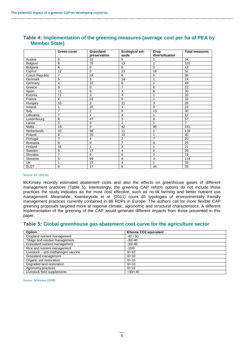|                 | Green cover    | Grassland      | <b>Ecological set-</b> | Crop            | <b>Total measures</b> |
|-----------------|----------------|----------------|------------------------|-----------------|-----------------------|
|                 |                | preservation   | aside                  | diversification |                       |
| Austria         | 6              | 22             | 5                      |                 | 34                    |
| Belgium         | 8              | 78             | 13                     | $\overline{2}$  | 102                   |
| <b>Bulgaria</b> | 6              | $\Omega$       | 6                      | 5               | 18                    |
| Cyprus          | 12             | $\Omega$       | 23                     | 16              | 52                    |
| Czech Republic  | $\overline{7}$ | 24             | 8                      | $\Omega$        | 38                    |
| Denmark         | 5              | 3              | 14                     | 1               | 24                    |
| Germany         | $\overline{4}$ | 37             | 6                      | $\overline{2}$  | 49                    |
| Greece          | 9              | $\mathbf 0$    | $\overline{7}$         | 6               | 22                    |
| Spain           | 11             | 9              | 3                      | 8               | 30                    |
| Estonia         | 11             | 3              | 4                      | 1               | 20                    |
| France          | $\overline{4}$ | 22             | 5                      | 1               | 32                    |
| Hungary         | 10             | $\overline{2}$ | 11                     | 3               | 26                    |
| Ireland         | 1              | 20             | 1                      | 0               | 23                    |
| Italy           | $\overline{7}$ | $\overline{2}$ | 8                      | 13              | 30                    |
| Lithuania       | $\overline{7}$ | 1              | $\overline{4}$         | 1               | 12                    |
| Luxembourg      | 6              | 47             | 3                      | 0               | 57                    |
| Latvia          | $\overline{5}$ | $\mathbf 0$    | $\overline{2}$         | 1               | $\overline{7}$        |
| Malta           | 19             | $\mathbf 0$    | 42                     | 90              | 151                   |
| Netherlands     | 10             | 98             | 11                     | $\overline{2}$  | 120                   |
| Poland          | 8              | 20             | 10                     | 1               | 40                    |
| Portugal        | $\overline{7}$ | $\overline{4}$ | $\overline{2}$         | $\overline{7}$  | 20                    |
| Romania         | 9              | 0              | $\overline{7}$         | 9               | 25                    |
| Finland         | 16             | 1              | 3                      | 1               | 21                    |
| Sweden          | 6              | 17             | 4                      | $\mathbf 0$     | 28                    |
| Slovakia        | $\overline{7}$ | 6              | 6                      | $\mathbf 0$     | 19                    |
| Slovenia        | 5              | 99             | 8                      | 3               | 114                   |
| UK              | 1              | 27             | $\overline{4}$         | 1               | 33                    |
| <b>EU27</b>     | 6              | 17             | 6                      | 44              | 33                    |

#### **Table 4: Implementation of the greening measures (average cost per ha of PEA by Member State)**

#### Source: EC (2011b).

McKinsey recently estimated abatement costs and also the effects on greenhouse gases of different management practices (Table 5). Interestingly, the greening CAP reform options do not include those practices the study indicates as the most cost effective, such as no-till farming and better nutrient use management. Meanwhile, Keenkeyside et al. (2011) count 65 typologies of environmentally friendly management practices currently contained in 88 RDPs in Europe. The authors call for more flexible CAP greening proposals targeted more at regional climatic, agronomic and structural characteristics. A different implementation of the greening of the CAP would generate different impacts from those presented in this paper.

#### **Table 5: Global greenhouse gas abatement cost curve for the agriculture sector**

| Option                              | €/tonne CO2 equivalent |  |
|-------------------------------------|------------------------|--|
| Cropland nutrient management        | $-40/50$               |  |
| Tillage and residue management      | $-30/-40$              |  |
| Grassland nutrient management       | $-30/-40$              |  |
| Rice and nutrient management        | $-10/0$                |  |
| Livestock - anti-methanogen vaccine | $0/+10$                |  |
| Grassland management                | $0/+10$                |  |
| Organic soil restoration            | $0/+10$                |  |
| Degraded land restoration           | $0/+10$                |  |
| Agronomy practices                  | $0/+10$                |  |
| Livestock feed supplements          | $+30/+40$              |  |

Source: McKinsey (2009).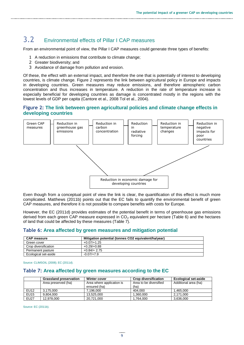### 3.2 Environmental effects of Pillar I CAP measures

From an environmental point of view, the Pillar I CAP measures could generate three types of benefits:

- 1 A reduction in emissions that contribute to climate change;
- 2 Greater biodiversity; and
- 3 Avoidance of damage from pollution and erosion.

Of these, the effect with an external impact, and therefore the one that is potentially of interest to developing countries, is climate change. Figure 2 represents the link between agricultural policy in Europe and impacts in developing countries. Green measures may reduce emissions, and therefore atmospheric carbon concentration and thus increases in temperature. A reduction in the rate of temperature increase is especially beneficial for developing countries as damage is concentrated mostly in the regions with the lowest levels of GDP per capita (Cantore et al., 2008 Tol et al., 2004).

#### **Figure 2: The link between green agricultural policies and climate change effects in developing countries**



Even though from a conceptual point of view the link is clear, the quantification of this effect is much more complicated. Matthews (2011b) points out that the EC fails to quantify the environmental benefit of green CAP measures, and therefore it is not possible to compare benefits with costs for Europe.

However, the EC (2011d) provides estimates of the potential benefit in terms of greenhouse gas emissions derived from each green CAP measure expressed in  $CO<sub>2</sub>$  equivalent per hectare (Table 6) and the hectares of land that could be affected by these measures (Table 7).

#### **Table 6: Area affected by green measures and mitigation potential**

| <b>CAP measure</b>   | Mitigation potential (tonnes CO2 equivalent/ha/year) |
|----------------------|------------------------------------------------------|
| Green cover          | $+0.07/+1.25$                                        |
| Crop diversification | $+0.29/+0.88$                                        |
| Permanent pasture    | $+0.84/+2.75$                                        |
| Ecological set-aside | $-0.07/+7.9$                                         |

Source: CLIMSOIL (2008); EC (2011d).

#### **Table 7: Area affected by green measures according to the EC**

|             | <b>Grassland preservation</b> | <b>Winter cover</b>       | <b>Crop diversification</b> | <b>Ecological set-aside</b> |
|-------------|-------------------------------|---------------------------|-----------------------------|-----------------------------|
|             | Area preserved (ha)           | Area where application is | Area to be diversified      | Additional area (ha)        |
|             |                               | ensured (ha)              | (ha)                        |                             |
| <b>EU12</b> | 3.175.000                     | 7.196.000                 | 404.000                     | .465.000                    |
| <b>EU15</b> | 9.804.000                     | 13.525.000                | 1.360.000                   | 2.171.000                   |
| <b>EU27</b> | 12,978,000                    | 20.721.000                | 1,764,000                   | 3,636,000                   |

Source: EC (2011b).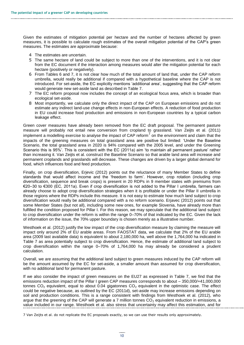Given the estimates of mitigation potential per hectare and the number of hectares affected by green measures, it is possible to calculate rough estimates of the overall mitigation potential of the CAP's green measures. The estimates are approximate because:

- 4 The estimates are uncertain.
- 5 The same hectare of land could be subject to more than one of the interventions, and it is not clear from the EC document if the interaction among measures would alter the mitigation potential for each hectare (positively or negatively).
- 6 From Tables 6 and 7, it is not clear how much of the total amount of land that, under the CAP reform umbrella, would really be additional if compared with a hypothetical baseline where the CAP is not introduced. For set-aside, the EC explicitly mentions 'additional area', suggesting that the CAP reform would generate new set-aside land as described in Table 7.
- 7 The EC reform proposal now includes the concept of an ecological focus area, which is broader than ecological set-aside.
- 8 Most importantly, we calculate only the direct impact of the CAP on European emissions and do not estimate any indirect land-use change effects in non-European effects. A reduction of food production in EU could increase food production and emissions in non-European countries by a typical carbon leakage effect.

Green cover measures have already been removed from the EC draft proposal. The permanent pasture measure will probably not entail new conversion from cropland to grassland. Van Zeijts et al. (2011) implement a modelling exercise to analyse the impact of CAP reform $^7$  on the environment and claim that the impacts of the greening measures on total grassland area are positive but limited: 'Under the Baseline Scenario, the total grassland area in 2020 is 94% compared with the 2005 level, and under the Greening Scenario this is 95%'. This is consistent with the EC (2011a) aim 'to maintain all permanent pasture' rather than increasing it. Van Zeijts et al. construct the Baseline Scenario so that arable land area will increase and permanent croplands and grasslands will decrease. These changes are driven by a larger global demand for food, which influences food and feed production.

Finally, on crop diversification, Erjevic (2012) points out the reluctance of many Member States to define standards that would affect income and the 'freedom to farm'. However, crop rotation (including crop diversification, sequence and break crops) is present in 20 RDPs in 9 member states with premiums from €20–30 to €300 (EC, 2011a). Even if crop diversification is not added to the Pillar I umbrella, farmers can already choose to adopt crop diversification strategies when it is profitable or under the Pillar II umbrella in those regions where the RDPs include this measure. It is not easy to estimate how much land subject to crop diversification would really be additional compared with a no reform scenario. Erjavec (2012) points out that some Member States (but not all), including some new ones, for example Slovenia, have already more than fulfilled the condition proposed for Pillar I. For this reason, we may speculate that the additional land subject to crop diversification under the reform is within the range 0–70% of that indicated by the EC. Given the lack of information on the issue, the 70% upper boundary is chosen merely as a illustrative number.

Westhoek et al. (2012) justify the low impact of the crop diversification measure by claiming the measure will impact only around 2% of EU arable areas. From FAOSTAT data, we calculate that 2% of the EU arable area (2009 last available data) is equivalent to about 2,180,000 ha, well above the 1,764,000 ha indicated in Table 7 as area potentially subject to crop diversification. Hence, the estimate of additional land subject to crop diversification within the range 0–70% of 1,764,000 ha may already be considered a prudent calculation.

Overall, we are assuming that the additional land subject to green measures induced by the CAP reform will be the amount assumed by the EC for set-aside, a smaller amount than assumed for crop diversification, with no additional land for permanent pasture.

If we also consider the impact of green measures on the EU27 as expressed in Table 7, we find that the emissions reduction impact of the Pillar I green CAP measures corresponds to about – 350,000/+41,000,000 tonnes  $CO<sub>2</sub>$  equivalent, equal to about 0.04 gigatonnes  $CO<sub>2</sub>$  equivalent in the optimistic case. The effect could be negative because, as outlined by the EC (2011d), set-aside may increase emissions depending on soil and production conditions. This is a range consistent with findings from Westhoek et al. (2012), who argue that the greening of the CAP will generate a 7 million tonnes  $CO<sub>2</sub>$  equivalent reduction in emissions, a value included in our range. Westhoek et al. also stress that uncertainty may affect this estimation, and for

7 Van Zeijts et al. do not replicate the EC proposals exactly, so we can use their results only approximately.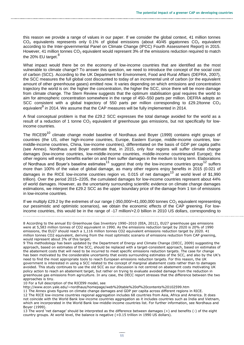this reason we provide a range of values in our paper. If we consider the global context, 41 million tonnes  $CO<sub>2</sub>$  equivalents represents only 0.1% of global emissions (about 40/45 gigatonnes  $CO<sub>2</sub>$  equivalent according to the Inter-governmental Panel on Climate Change (IPCC) Fourth Assessment Report) in 2015. However, 41 million tonnes  $CO<sub>2</sub>$  equivalent would represent 3% of the emissions reduction required to match the 20% EU target.<sup>8</sup>

What impact would there be on the economy of low-income countries that are identified as the most vulnerable to climate change? To answer this question, we need to introduce the concept of the social cost of carbon (SCC). According to the UK Department for Environment, Food and Rural Affairs (DEFRA, 2007), the SCC measures the full global cost discounted to today of an incremental unit of carbon (or the equivalent amount of other greenhouse gases) emitted now. It varies depending on which emissions and concentration trajectory the world is on: the higher the concentration, the higher the SCC, since there will be more damage from climate change. The Stern Review suggests that the optimum stabilisation goal requires the world to aim for atmospheric concentration somewhere in the range of 450–550 parts per million. DEFRA adopts an SCC consistent with a global trajectory of 550 parts per million corresponding to £29.2/tonne  $CO<sub>2</sub>$ equivalent<sup>9</sup> in 2014. We assume that the CAP measures will be fully implemented in 2014.

A final conceptual problem is that the £29.2 SCC expresses the total damage avoided for the world as a result of a reduction of 1 tonne  $CO<sub>2</sub>$  equivalent of greenhouse gas emissions, but not specifically for lowincome countries.

The RICE99<sup>10</sup> climate change model baseline of Nordhaus and Boyer (1999) contains eight groups of countries (the US, other high-income countries, Europe, Eastern Europe, middle-income countries, lowmiddle-income countries, China, low-income countries), differentiated on the basis of GDP per capita paths (see Annex). Nordhaus and Boyer estimate that, in 2015, only four regions will suffer climate change damages (low-income countries, low-middle-income countries, middle-income countriesand Europe); the other regions will enjoy benefits earlier on and then suffer damages in the medium to long term. Elaborations of Nordhaus and Boyer's baseline estimates $^{11}$  suggest that only the low-income countries group<sup>12</sup> suffers more than 100% of the value of global damage, as many other regions enjoy benefits in 2015 (0.021 of damages in the RICE low-income countries region vs. 0.015 of net damages<sup>13</sup> at world level of \$1,990 trillion). Over the period 2015–2205, the cumulated damages for low-income countries represent about 44% of world damages. However, as the uncertainty surrounding scientific evidence on climate change damages estimations, we interpret the £29.2 SCC as the upper boundary price of the damage from 1 ton of emissions in low-income countries.

If we multiply £29.2 by the extremes of our range  $(-350,000/441,000,000)$  tonnes CO<sub>2</sub> equivalent representing our pessimistic and optimistic scenarios), we obtain the economic effects of the CAP greening. For lowincome countries, this would be in the range of -17 million/+2.0 billion in 2010 US dollars, corresponding to

8 According to the annual EU Greenhouse Gas Inventory 1990–2010 (EEA, 2012), EU27 greenhouse gas emissions were at 5,583 million tonnes of CO2 equivalent in 1990. As the emissions reduction target by 2020 is 20% of 1990 emissions, the EU27 should reach a 1,116 million tonnes CO2 equivalent emissions reduction target by 2020. 41 million tonnes CO2 equivalent, deriving from the most optimistic scenario of emissions reduction from CAP greening, would represent about 3% of this target.

9 This methodology has been updated by the Department of Energy and Climate Change (DECC, 2009) suggesting the approach, based on estimates of the SCC, should be replaced with a target-consistent approach, based on estimates of the abatement costs that will need to be incurred to meet specific emissions reduction targets. The case for change has been motivated by the considerable uncertainty that exists surrounding estimates of the SCC, and also by the UK's need to find the most appropriate tools to reach European emissions reduction targets. For this reason, the UK government is interested in using a SCC related to the concept of marginal abatement costs rather than to damages avoided. This study continues to use the old SCC as our discussion is not centred on abatement costs motivating UK policy action to reach an abatement target, but rather on trying to evaluate avoided damage from the reduction in greenhouse gas emissions from agriculture. In any case, the DECC report stresses that the difference between the two approaches is tiny.

10 For a full description of the RICE99 model, see

<http://www.econ.yale.edu/~nordhaus/homepage/web%20table%20of%20contents%20102599.htm>

11 The Annex gives figures on climate change damages and GDP per capita across different regions in RICE.

12 The RICE low-income countries regional aggregation includes 68 countries from Asia, Africa and America. It does not coincide with the World Bank low-income countries aggregation as it includes countries such as India and Vietnam, which are incorporated in the World Bank low-middle-income countries list. For further information, see Nordhaus and Boyer (1999).

13 The word 'net damage' should be interpreted as the difference between damages (+) and benefits (-) of the eight country groups. At world level, the balance is negative (+0.15 trillion in 1990 US dollars).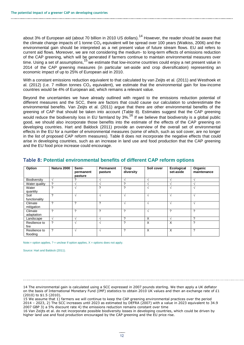about 3% of European aid (about 70 billion in 2010 US dollars).<sup>14</sup> However, the reader should be aware that the climate change impacts of 1 tonne  $CO<sub>2</sub>$  equivalent will be spread over 100 years (Watkiss, 2006) and the environmental gain should be interpreted as a net present value of future stream flows. EU aid refers to current aid flows. Moreover, we are not considering the medium- to long-term effects of emissions reduction of the CAP greening, which will be generated if farmers continue to maintain environmental measures over time. Using a set of assumptions,<sup>15</sup> we estimate that low-income countries could enjoy a net present value in 2014 of the CAP greening measures (in particular set-aside and crop diversification) representing an economic impact of up to 25% of European aid in 2010.

With a constant emissions reduction equivalent to that calculated by van Zeijts et al. (2011) and Westhoek et al. (2012) (i.e. 7 million tonnes  $CO<sub>2</sub>$  equivalent), we estimate that the environmental gain for low-income countries would be 4% of European aid, which remains a relevant value.

Beyond the uncertainties we have already outlined with regard to the emissions reduction potential of different measures and the SCC, there are factors that could cause our calculation to underestimate the environmental benefits. Van Zeijts et al. (2011) argue that there are other environmental benefits of the greening of CAP that should be taken into account (Table 8). Estimates suggest that the CAP greening would reduce the biodiversity loss in EU farmland by 3%.<sup>16</sup> If we believe that biodiversity is a global public good, we should also incorporate those benefits into the estimate of the effects of the CAP greening on developing countries. Hart and Baldock (2011) provide an overview of the overall set of environmental effects in the EU for a number of environmental measures (some of which, such as soil cover, are no longer in the list of proposed CAP reform measures). Table 8 does not incorporate the negative effects that could arise in developing countries, such as an increase in land use and food production that the CAP greening and the EU food price increase could encourage.

| Option                    | Natura 2000   | Semi-<br>permanent<br>pasture | Permanent<br>pasture     | Crop<br>diversity | Soil cover    | Ecological<br>set-aside  | Organic<br>maintenance |
|---------------------------|---------------|-------------------------------|--------------------------|-------------------|---------------|--------------------------|------------------------|
| Biodiversity              | $\mathcal{N}$ |                               |                          | $\lambda$         |               |                          |                        |
| Water quality             | ?             |                               | $\lambda$                | 2                 |               | $\overline{\phantom{a}}$ |                        |
| Water<br>quantity         | 2             |                               | 2                        | ?                 | $\sim$        | $\triangleleft$          |                        |
| Soil<br>functionality     | ?             |                               | $\overline{\phantom{a}}$ | $\sim$            | $\mathcal{N}$ | $\Delta$                 |                        |
| Climate<br>mitigation     | 2             | っ                             | 2                        | $\sim$            |               | $\triangleleft$          |                        |
| Climate<br>adaptation     | ?             | ?                             | ?                        | ?                 | N             | ?                        | ?                      |
| Landscape                 | $\sqrt{ }$    |                               | $\sim$                   | 2                 | X             | $\mathbf{A}$             | 2                      |
| Resilience to<br>fire     | ?             |                               |                          | ?                 | X             | X                        | ?                      |
| Resilience to<br>flooding | ?             |                               |                          | 2                 | X             | $\times$                 | ?                      |

#### **Table 8: Potential environmental benefits of different CAP reform options**

Note:= option applies,  $?$  = unclear if option applies,  $X =$  options does not apply.

Source: Hart and Baldock (2011).

<sup>14</sup> The environmental gain is calculated using a SCC expressed in 2007 pounds sterling. We then apply a UK deflator on the basis of International Monetary Fund (IMF) statistics to obtain 2010 UK values and then an exchange rate of £1 (2010) to \$1.5 (2010).

<sup>15</sup> We assume that 1) farmers we will continue to keep the CAP greening environmental practices over the period 2014 – 2023, 2) The SCC increases until 2023 as estimated by DEFRA (2007) with a value in 2023 equivalent to 34.9 2007 GBP 3) a 5% discount rate 4) the emissions reduction remains constant over time

<sup>16</sup> Van Zeijts et al. do not incorporate possible biodiversity losses in developing countries, which could be driven by higher land use and food production encouraged by the CAP greening and the EU price rise.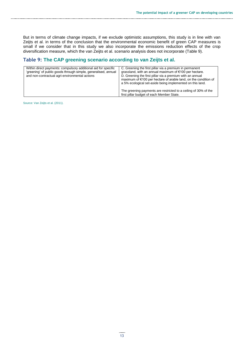But in terms of climate change impacts, if we exclude optimistic assumptions, this study is in line with van Zeijts et al. in terms of the conclusion that the environmental economic benefit of green CAP measures is small if we consider that in this study we also incorporate the emissions reduction effects of the crop diversification measure, which the van Zeijts et al. scenario analysis does not incorporate (Table 9).

#### **Table 9: The CAP greening scenario according to van Zeijts et al.**

| Within direct payments: compulsory additional aid for specific<br>'greening' of public goods through simple, generalised, annual<br>and non-contractual agri-environmental actions | C. Greening the first pillar via a premium in permanent<br>grassland, with an annual maximum of €100 per hectare.<br>D. Greening the first pillar via a premium with an annual<br>maximum of €100 per hectare of arable land, on the condition of<br>a 5% ecological set-aside being implemented on this land. |
|------------------------------------------------------------------------------------------------------------------------------------------------------------------------------------|----------------------------------------------------------------------------------------------------------------------------------------------------------------------------------------------------------------------------------------------------------------------------------------------------------------|
|                                                                                                                                                                                    | The greening payments are restricted to a ceiling of 30% of the<br>first pillar budget of each Member State.                                                                                                                                                                                                   |

Source: Van Zeijts et al. (2011).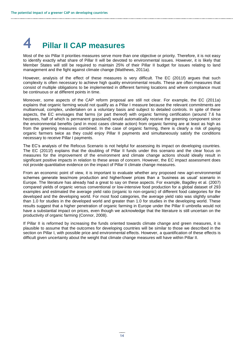# **4 Pillar II CAP measures**

Most of the six Pillar II priorities measures serve more than one objective or priority. Therefore, it is not easy to identify exactly what share of Pillar II will be devoted to environmental issues. However, it is likely that Member States will still be required to maintain 25% of their Pillar II budget for issues relating to land management and the fight against climate change (Matthews, 2011a).

However, analysis of the effect of these measures is very difficult. The EC (2011f) argues that such complexity is often necessary to achieve high quality environmental results. These are often measures that consist of multiple obligations to be implemented in different farming locations and where compliance must be continuous or at different points in time.

Moreover, some aspects of the CAP reform proposal are still not clear. For example, the EC (2011a) explains that organic farming would not qualify as a Pillar I measure because the relevant commitments are multiannual, complex, undertaken on a voluntary basis and subject to detailed controls. In spite of these aspects, the EC envisages that farms (or part thereof) with organic farming certification (around 7.6 ha hectares, half of which is permanent grassland) would automatically receive the greening component since the environmental benefits (and in most cases climate action) from organic farming are at least as high as from the greening measures combined. In the case of organic farming, there is clearly a risk of paying organic farmers twice as they could enjoy Pillar II payments and simultaneously satisfy the conditions necessary to receive Pillar I payments.

The EC's analysis of the Refocus Scenario is not helpful for assessing its impact on developing countries. The EC (2011f) explains that the doubling of Pillar II funds under this scenario and the clear focus on measures for the improvement of the environment and climate change actions should ideally result in significant positive impacts in relation to these areas of concern. However, the EC impact assessment does not provide quantitative evidence on the impact of Pillar II climate change measures.

From an economic point of view, it is important to evaluate whether any proposed new agri-environmental schemes generate less/more production and higher/lower prices than a 'business as usual' scenario in Europe. The literature has already had a great to say on these aspects. For example, Bagdley et al. (2007) compared yields of organic versus conventional or low-intensive food production for a global dataset of 293 examples and estimated the average yield ratio (organic to non-organic) of different food categories for the developed and the developing world. For most food categories, the average yield ratio was slightly smaller than 1.0 for studies in the developed world and greater than 1.0 for studies in the developing world. These results suggest that a higher penetration of organic farming in Europe under the Pillar II umbrella would not have a substantial impact on prices, even though we acknowledge that the literature is still uncertain on the productivity of organic farming (Connor, 2008).

If Pillar II is reformed by increasing the funds oriented towards climate change and green measures, it is plausible to assume that the outcomes for developing countries will be similar to those we described in the section on Pillar I, with possible price and environmental effects. However, a quantification of these effects is difficult given uncertainty about the weight that climate change measures will have within Pillar II.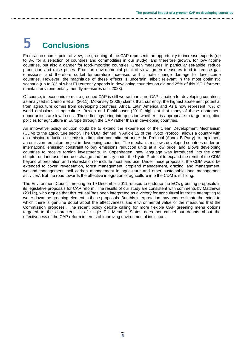# **5 Conclusions**

From an economic point of view, the greening of the CAP represents an opportunity to increase exports (up to 3% for a selection of countries and commodities in our study), and therefore growth, for low-income countries, but also a danger for food-importing countries. Green measures, in particular set-aside, reduce production and raise prices. From an environmental point of view, green measures tend to reduce gas emissions, and therefore curtail temperature increases and climate change damage for low-income countries. However, the magnitude of these effects is uncertain, albeit relevant in the most optimistic scenario (up to 3% of what EU currently spends in developing countries on aid and 25% of this if EU farmers maintain environmentally friendly measures until 2023).

Of course, in economic terms, a greened CAP is still worse than a no-CAP situation for developing countries, as analysed in Cantore et al. (2011). McKinsey (2009) claims that, currently, the highest abatement potential from agriculture comes from developing countries; Africa, Latin America and Asia now represent 76% of world emissions in agriculture. Bowen and Fankhauser (2011) highlight that many of these abatement opportunities are low in cost. These findings bring into question whether it is appropriate to target mitigation policies for agriculture in Europe through the CAP rather than in developing countries.

An innovative policy solution could be to extend the experience of the Clean Development Mechanism (CDM) to the agriculture sector. The CDM, defined in Article 12 of the Kyoto Protocol, allows a country with an emission reduction or emission limitation commitment under the Protocol (Annex B Party) to implement an emission reduction project in developing countries. The mechanism allows developed countries under an international emission constraint to buy emissions reduction units at a low price, and allows developing countries to receive foreign investments. In Copenhagen, new language was introduced into the draft chapter on land use, land-use change and forestry under the Kyoto Protocol to expand the remit of the CDM beyond afforestation and reforestation to include most land use. Under these proposals, the CDM would be extended to cover 'revegetation, forest management, cropland management, grazing land management, wetland management, soil carbon management in agriculture and other sustainable land management activities'. But the road towards the effective integration of agriculture into the CDM is still long.

The [Environment Council meeting on 19 December 2](http://www.consilium.europa.eu/homepage/showfocus?lang=en&focusID=79108)011 refused to endorse the EC's greening proposals in its legislative proposals for CAP reform. The results of our study are consistent with comments by Matthews (2011c), who argues that this refusal 'has been interpreted as a victory for agricultural interests attempting to water down the greening element in these proposals. But this interpretation may underestimate the extent to which there is genuine doubt about the effectiveness and environmental value of the measures that the Commission proposes'. The recent policy debate calling for more flexible CAP greening menu options targeted to the characteristics of single EU Member States does not cancel out doubts about the effectiveness of the CAP reform in terms of improving environmental indicators.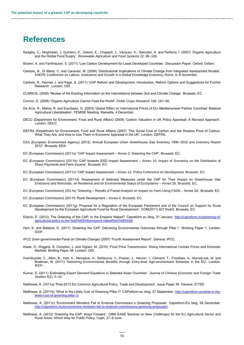### **References**

- Badgley, C., Moghtader, J, Quintero, E., Zakem, E., Chappell, J., Vázquez, K., Samulon, A. and Perfecto, I. (2007) 'Organic Agriculture and the Global Food Supply'. *Renewable Agriculture and Food Systems* 22: 86–108.
- Bowen, A. and Fankhauser, S. (2011) 'Low Carbon Development for Least Developed Countries'. Discussion Paper. Oxford: Oxfam.
- Cantore, N., Di Maria, C. and Canavari, M. (2008) 'Distributional Implications of Climate Change from Integrated Assessment Models'. EAEPE Conference on Labour, Institutions and Growth in a Global Knowledge Economy, Rome, 6–8 November.
- Cantore, N., Kennan J. and Page, S. (2011) 'CAP Reform and Development: Introduction, Reform Options and Suggestions for Further Research'. London: ODI.
- CLIMSOIL (2008) 'Review of the Existing Information on the Interrelations between Soil and Climate Change'. Brussels: EC.
- Connor, D. (2008) 'Organic Agriculture Cannot Feed the World'. *Fields Crops Research* 106: 187–90.
- De Arce, R., Mahía, R. and Escribano, G. (2003) 'Global Effect on International Prices of EU–Mediterranean Partner Countries' Bilateral Agricultural Liberalisation'. FEMISE Meeting, Marseille, 4 December.
- DECC (Department for Environment, Food and Rural Affairs) (2009) 'Carbon Valuation in UK Policy Appraisal: A Revised Approach'. London: DECC.
- DEFRA (Department for Environment, Food and Rural Affairs) (2007) 'The Social Cost of Carbon and the Shadow Price of Carbon: What They Are, and How to Use Them in Economic Appraisal in the UK'. London: DEFRA.
- EEA (European Environment Agency) (2012) 'Annual European Union Greenhouse Gas Inventory 1990–2010 and Inventory Report 2012'. Brussels: EEA.
- EC (European Commission) (2011a) 'CAP Impact Assessment Annex 2: Greening the CAP'. Brussels: EC.
- EC (European Commission) (2011b) 'CAP towards 2020 Impact Assessment Annex 10: Impact of Scenarios on the Distribution of Direct Payments and Farm Income'. Brussels: EC.
- EC (European Commission) (2011c) 'CAP Impact Assessment Annex 12: Policy Coherence on Development. Brussels: EC.
- EC (European Commission) (2011d) 'Assessment of Selected Measures under the CAP for Their Impact on Greenhouse Gas Emissions and Removals, on Resilience and on Environmental Status of Ecosystems – Annex 2b. Brussels: EC.
- EC (European Commission) (2011e) 'Greening Results of Partial Analysis on Impact on Farm Using FADN Annex 2d'. Brussels: EC.
- EC (European Commission) (2011f) 'Rural Development Annex 4. Brussels: EC.
- EC (European Commission) (2011g) 'Proposal for a Regulation of the European Parliament and of the Council on Support for Rural Development by the European Agricultural Fund for Rural Development'. COM(2011) 627 final/2. Brussels: EC.
- Erjevic, E. (2012) 'The Greening of the CAP: Is the Emperor Naked?' Capreform.eu blog, 31 January: [http://capreform.eu/greening-of](http://capreform.eu/greening-of-agricultural-policy-is-the-%e2%80%9cemperor-naked%e2%80%9d/)[agricultural-policy-is-the-%e2%80%9cemperor-naked%e2%80%9d/](http://capreform.eu/greening-of-agricultural-policy-is-the-%e2%80%9cemperor-naked%e2%80%9d/)
- Hart, K. and Baldock, D. (2011) 'Greening the CAP: Delivering Environmental Outcomes through Pillar I'. Working Paper 1. London: IEEP.
- IPCC (Inter-governmental Panel on Climate Change) (2007) 'Fourth Assessment Report'. Geneva: IPCC.
- Keats, S., Wiggins, S. Compton, J. and Vigneri, M. (2010) 'Food Price Transmission: Rising International Cereals Prices and Domestic Markets' Briefing Paper 48. London: ODI.
- Keenleyside, C., Allen, B., Hart, K., Menadue, H., Stefanova, V., Prazan, J., Herzon. I., Clement, T., Povellato, A., Maciejczak, M. and Boatman, N. (2011) 'Delivering Environmental Benefits through Entry-level Agri-environment Schemes in the EU'. London: IEEP.
- Kumar, S. (2011) 'Estimating Export Demand Equations in Selected Asian Countries'. *Journal of Chinese Economic and Foreign Trade Studies* 4(1): 5–16.
- Matthews, A. (2011a) 'Post-2013 EU Common Agricultural Policy, Trade and Development'. Issue Paper 39. Geneva: ICTSD.
- Matthews, A. (2011b) 'What Is the Likely Cost of Greening Pillar I?' CAPreform.eu blog, 27 September: [http://capreform.eu/what-is-the](http://capreform.eu/what-is-the-likely-cost-of-greening-pillar-1/)[likely-cost-of-greening-pillar-1/](http://capreform.eu/what-is-the-likely-cost-of-greening-pillar-1/)
- Matthews, A. (2011c) 'Environment Ministers Fail to Endorse Commission`s Greening Proposals'. Capreform.EU blog, 26 December: <http://capreform.eu/environment-ministers-fail-to-endorse-commissions-greening-proposals/>
- Matthews, A. (2012) 'Greening the CAP: Ways Forward'. 126th EAAE Seminar on New Challenges for the EU Agricultural Sector and Rural Areas: Which Way for Public Policy, Capri, 27–9 June.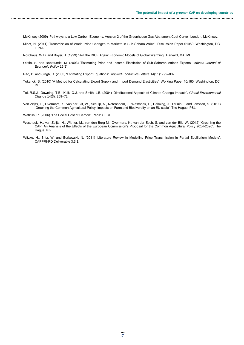- McKinsey (2009) 'Pathways to a Low Carbon Economy: Version 2 of the Greenhouse Gas Abatement Cost Curve'. London: McKinsey.
- Minot, N. (2011) 'Transmission of World Price Changes to Markets in Sub-Sahara Africa'. Discussion Paper 01059. Washington, DC: IFPRI.

Nordhaus, W.D. and Boyer, J. (1999) 'Roll the DICE Again: Economic Models of Global Warming'. Harvard, MA: MIT.

- Olofin, S. and Babatunde, M. (2003) 'Estimating Price and Income Elasticities of Sub-Saharan African Exports'. *African Journal of Economic Policy* 16(2).
- Rao, B. and Singh, R. (2005) 'Estimating Export Equations'. *Applied Economics Letters* 14(11): 799–802.
- Tokarick, S. (2010) 'A Method for Calculating Export Supply and Import Demand Elasticities'. Working Paper 10/180. Washington, DC: IMF.
- Tol, R.S.J., Downing, T.E., Kuik, O.J. and Smith, J.B. (2004) 'Distributional Aspects of Climate Change Impacts'. *Global Environmental Change* 14(3): 259–72.
- Van Zeijts, H., Overmars, K., van der Bilt, W., Schulp, N., Notenboom, J., Westhoek, H., Helming, J., Terluin, I. and Janssen, S. (2011) 'Greening the Common Agricultural Policy: impacts on Farmland Biodiversity on an EU scale'. The Hague: PBL.

Watkiss, P. (2006) 'The Social Cost of Carbon'. Paris: OECD.

- Westhoek, H., van Zeijts, H., Witmer, M., van den Berg M., Overmars, K., van der Esch, S. and van der Bilt, W. (2012) 'Greening the CAP: An Analysis of the Effects of the European Commission's Proposal for the Common Agricultural Policy 2014-2020'. The Hague: PBL.
- Witzke, H., Britz, W. and Borkowski, N. (2011) 'Literature Review in Modelling Price Transmission in Partial Equilibrium Models'. CAPPRI-RD Deliverable 3.3.1.